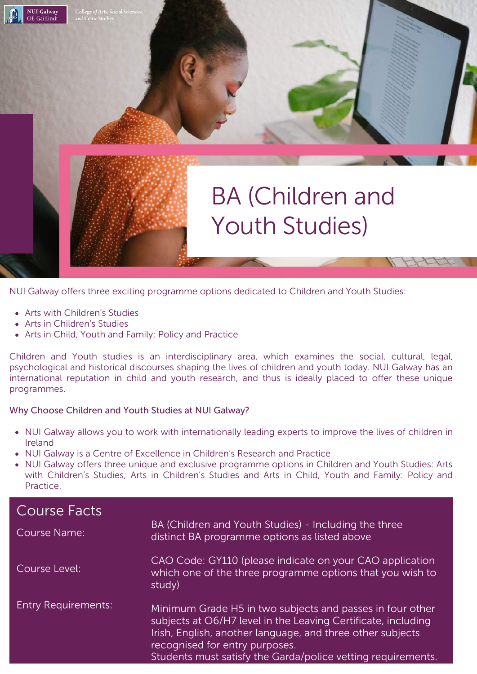

NUI Galway offers three exciting programme options dedicated to Children and Youth Studies:

- Arts with Children's Studies
- Arts in Children's Studies

**NUI Galway** OÉ Gaillimh

Arts in Child, Youth and Family: Policy and Practice

Children and Youth studies is an interdisciplinary area, which examines the social, cultural, legal, psychological and historical discourses shaping the lives of children and youth today. NUI Galway has an international reputation in child and youth research, and thus is ideally placed to offer these unique programmes.

#### Why Choose Children and Youth Studies at NUI Galway?

- NUI Galway allows you to work with internationally leading experts to improve the lives of children in Ireland
- NUI Galway is a Centre of Excellence in Children's Research and Practice
- NUI Galway offers three unique and exclusive programme options in Children and Youth Studies: Arts with Children's Studies; Arts in Children's Studies and Arts in Child, Youth and Family: Policy and Practice.

| Course Facts               |                                                                                                                                                                                                                                                                                            |
|----------------------------|--------------------------------------------------------------------------------------------------------------------------------------------------------------------------------------------------------------------------------------------------------------------------------------------|
| Course Name:               | BA (Children and Youth Studies) - Including the three<br>distinct BA programme options as listed above                                                                                                                                                                                     |
| Course Level:              | CAO Code: GY110 (please indicate on your CAO application<br>which one of the three programme options that you wish to<br>study)                                                                                                                                                            |
| <b>Entry Requirements:</b> | Minimum Grade H5 in two subjects and passes in four other<br>subjects at O6/H7 level in the Leaving Certificate, including<br>Irish, English, another language, and three other subjects<br>recognised for entry purposes.<br>Students must satisfy the Garda/police vetting requirements. |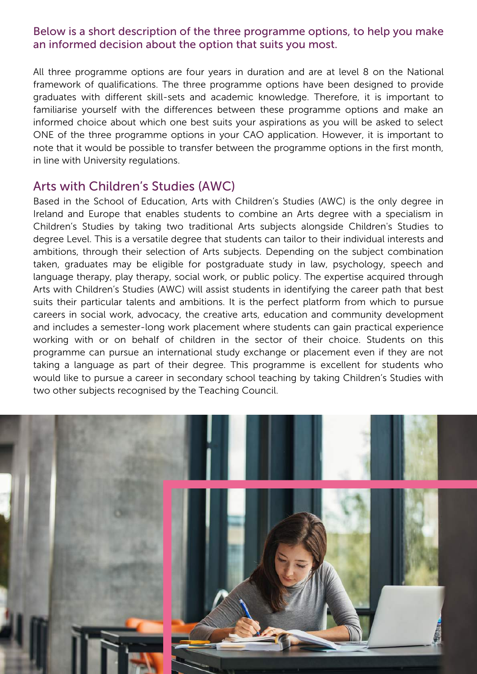### Below is a short description of the three programme options, to help you make an informed decision about the option that suits you most.

All three programme options are four years in duration and are at level 8 on the National framework of qualifications. The three programme options have been designed to provide graduates with different skill-sets and academic knowledge. Therefore, it is important to familiarise yourself with the differences between these programme options and make an informed choice about which one best suits your aspirations as you will be asked to select ONE of the three programme options in your CAO application. However, it is important to note that it would be possible to transfer between the programme options in the first month, in line with University regulations.

## Arts with Children's Studies (AWC)

Based in the School of Education, Arts with Children's Studies (AWC) is the only degree in Ireland and Europe that enables students to combine an Arts degree with a specialism in Children's Studies by taking two traditional Arts subjects alongside Children's Studies to degree Level. This is a versatile degree that students can tailor to their individual interests and ambitions, through their selection of Arts subjects. Depending on the subject combination taken, graduates may be eligible for postgraduate study in law, psychology, speech and language therapy, play therapy, social work, or public policy. The expertise acquired through Arts with Children's Studies (AWC) will assist students in identifying the career path that best suits their particular talents and ambitions. It is the perfect platform from which to pursue careers in social work, advocacy, the creative arts, education and community development and includes a semester-long work placement where students can gain practical experience working with or on behalf of children in the sector of their choice. Students on this programme can pursue an international study exchange or placement even if they are not taking a language as part of their degree. This programme is excellent for students who would like to pursue a career in secondary school teaching by taking Children's Studies with two other subjects recognised by the Teaching Council.

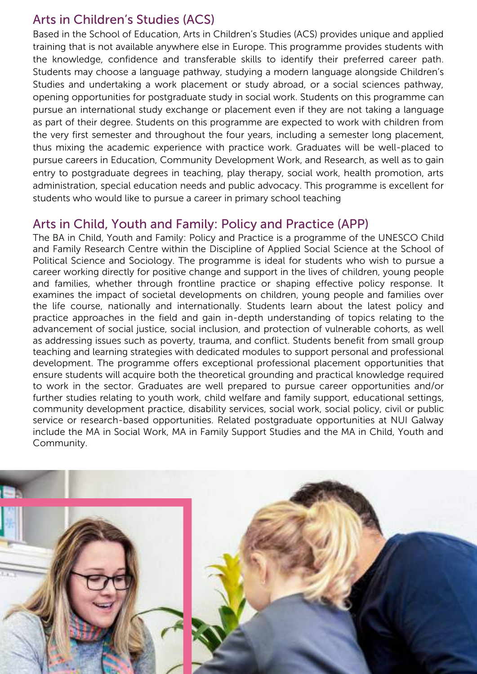# Arts in Children's Studies (ACS)

Based in the School of Education, Arts in Children's Studies (ACS) provides unique and applied training that is not available anywhere else in Europe. This programme provides students with the knowledge, confidence and transferable skills to identify their preferred career path. Students may choose a language pathway, studying a modern language alongside Children's Studies and undertaking a work placement or study abroad, or a social sciences pathway, opening opportunities for postgraduate study in social work. Students on this programme can pursue an international study exchange or placement even if they are not taking a language as part of their degree. Students on this programme are expected to work with children from the very first semester and throughout the four years, including a semester long placement, thus mixing the academic experience with practice work. Graduates will be well-placed to pursue careers in Education, Community Development Work, and Research, as well as to gain entry to postgraduate degrees in teaching, play therapy, social work, health promotion, arts administration, special education needs and public advocacy. This programme is excellent for students who would like to pursue a career in primary school teaching

## Arts in Child, Youth and Family: Policy and Practice (APP)

The BA in Child, Youth and Family: Policy and Practice is a programme of the UNESCO Child and Family Research Centre within the Discipline of Applied Social Science at the School of Political Science and Sociology. The programme is ideal for students who wish to pursue a career working directly for positive change and support in the lives of children, young people and families, whether through frontline practice or shaping effective policy response. It examines the impact of societal developments on children, young people and families over the life course, nationally and internationally. Students learn about the latest policy and practice approaches in the field and gain in-depth understanding of topics relating to the advancement of social justice, social inclusion, and protection of vulnerable cohorts, as well as addressing issues such as poverty, trauma, and conflict. Students benefit from small group teaching and learning strategies with dedicated modules to support personal and professional development. The programme offers exceptional professional placement opportunities that ensure students will acquire both the theoretical grounding and practical knowledge required to work in the sector. Graduates are well prepared to pursue career opportunities and/or further studies relating to youth work, child welfare and family support, educational settings, community development practice, disability services, social work, social policy, civil or public service or research-based opportunities. Related postgraduate opportunities at NUI Galway include the MA in Social Work, MA in Family Support Studies and the MA in Child, Youth and Community.